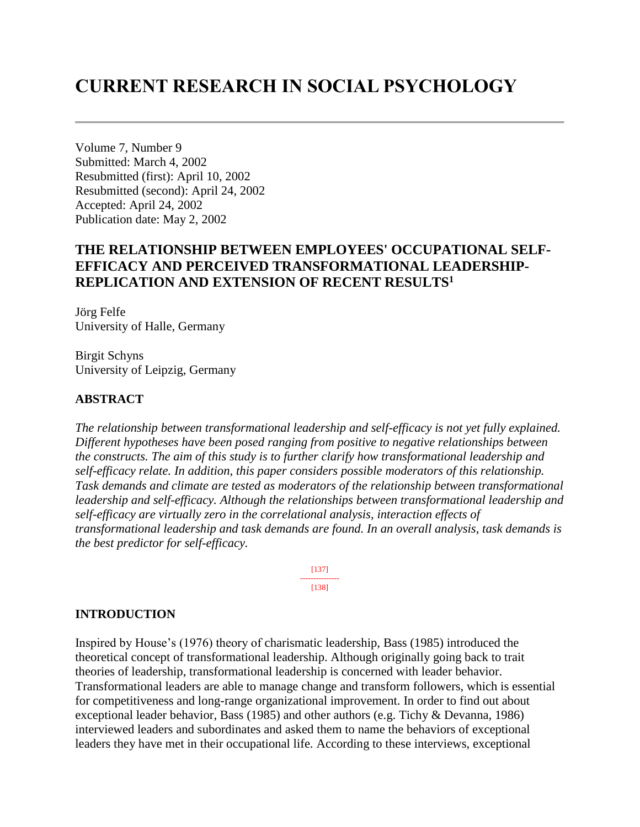# **CURRENT RESEARCH IN SOCIAL PSYCHOLOGY**

Volume 7, Number 9 Submitted: March 4, 2002 Resubmitted (first): April 10, 2002 Resubmitted (second): April 24, 2002 Accepted: April 24, 2002 Publication date: May 2, 2002

# **THE RELATIONSHIP BETWEEN EMPLOYEES' OCCUPATIONAL SELF-EFFICACY AND PERCEIVED TRANSFORMATIONAL LEADERSHIP-REPLICATION AND EXTENSION OF RECENT RESULTS<sup>1</sup>**

Jörg Felfe University of Halle, Germany

Birgit Schyns University of Leipzig, Germany

# **ABSTRACT**

*The relationship between transformational leadership and self-efficacy is not yet fully explained. Different hypotheses have been posed ranging from positive to negative relationships between the constructs. The aim of this study is to further clarify how transformational leadership and self-efficacy relate. In addition, this paper considers possible moderators of this relationship. Task demands and climate are tested as moderators of the relationship between transformational leadership and self-efficacy. Although the relationships between transformational leadership and self-efficacy are virtually zero in the correlational analysis, interaction effects of transformational leadership and task demands are found. In an overall analysis, task demands is the best predictor for self-efficacy.*

> [137] --------------- [138]

#### **INTRODUCTION**

Inspired by House's (1976) theory of charismatic leadership, Bass (1985) introduced the theoretical concept of transformational leadership. Although originally going back to trait theories of leadership, transformational leadership is concerned with leader behavior. Transformational leaders are able to manage change and transform followers, which is essential for competitiveness and long-range organizational improvement. In order to find out about exceptional leader behavior, Bass (1985) and other authors (e.g. Tichy & Devanna, 1986) interviewed leaders and subordinates and asked them to name the behaviors of exceptional leaders they have met in their occupational life. According to these interviews, exceptional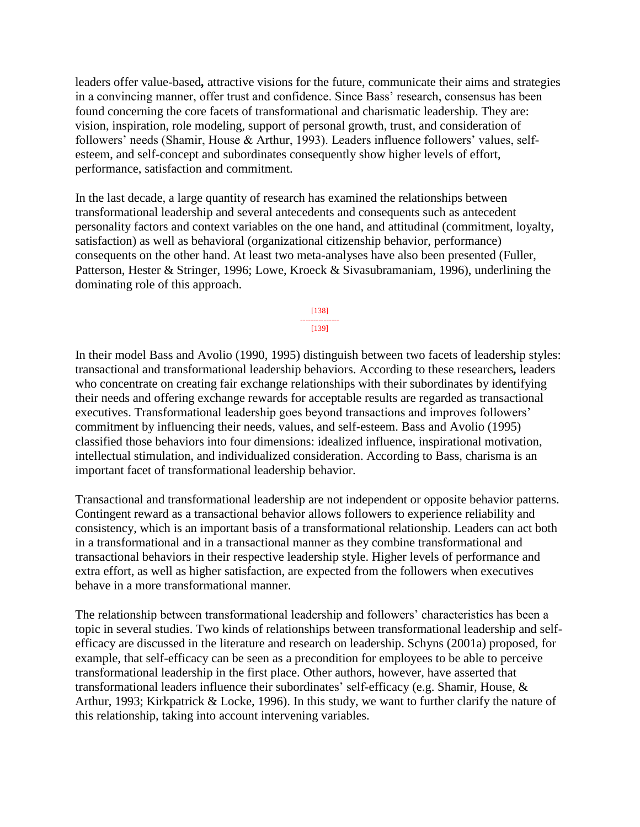leaders offer value-based*,* attractive visions for the future, communicate their aims and strategies in a convincing manner, offer trust and confidence. Since Bass' research, consensus has been found concerning the core facets of transformational and charismatic leadership. They are: vision, inspiration, role modeling, support of personal growth, trust, and consideration of followers' needs (Shamir, House & Arthur, 1993). Leaders influence followers' values, selfesteem, and self-concept and subordinates consequently show higher levels of effort, performance, satisfaction and commitment.

In the last decade, a large quantity of research has examined the relationships between transformational leadership and several antecedents and consequents such as antecedent personality factors and context variables on the one hand, and attitudinal (commitment, loyalty, satisfaction) as well as behavioral (organizational citizenship behavior, performance) consequents on the other hand. At least two meta-analyses have also been presented (Fuller, Patterson, Hester & Stringer, 1996; Lowe, Kroeck & Sivasubramaniam, 1996), underlining the dominating role of this approach.

> [138] --------------- [139]

In their model Bass and Avolio (1990, 1995) distinguish between two facets of leadership styles: transactional and transformational leadership behaviors. According to these researchers*,* leaders who concentrate on creating fair exchange relationships with their subordinates by identifying their needs and offering exchange rewards for acceptable results are regarded as transactional executives. Transformational leadership goes beyond transactions and improves followers' commitment by influencing their needs, values, and self-esteem. Bass and Avolio (1995) classified those behaviors into four dimensions: idealized influence, inspirational motivation, intellectual stimulation, and individualized consideration. According to Bass, charisma is an important facet of transformational leadership behavior.

Transactional and transformational leadership are not independent or opposite behavior patterns. Contingent reward as a transactional behavior allows followers to experience reliability and consistency, which is an important basis of a transformational relationship. Leaders can act both in a transformational and in a transactional manner as they combine transformational and transactional behaviors in their respective leadership style. Higher levels of performance and extra effort, as well as higher satisfaction, are expected from the followers when executives behave in a more transformational manner.

The relationship between transformational leadership and followers' characteristics has been a topic in several studies. Two kinds of relationships between transformational leadership and selfefficacy are discussed in the literature and research on leadership. Schyns (2001a) proposed, for example, that self-efficacy can be seen as a precondition for employees to be able to perceive transformational leadership in the first place. Other authors, however, have asserted that transformational leaders influence their subordinates' self-efficacy (e.g. Shamir, House, & Arthur, 1993; Kirkpatrick & Locke, 1996). In this study, we want to further clarify the nature of this relationship, taking into account intervening variables.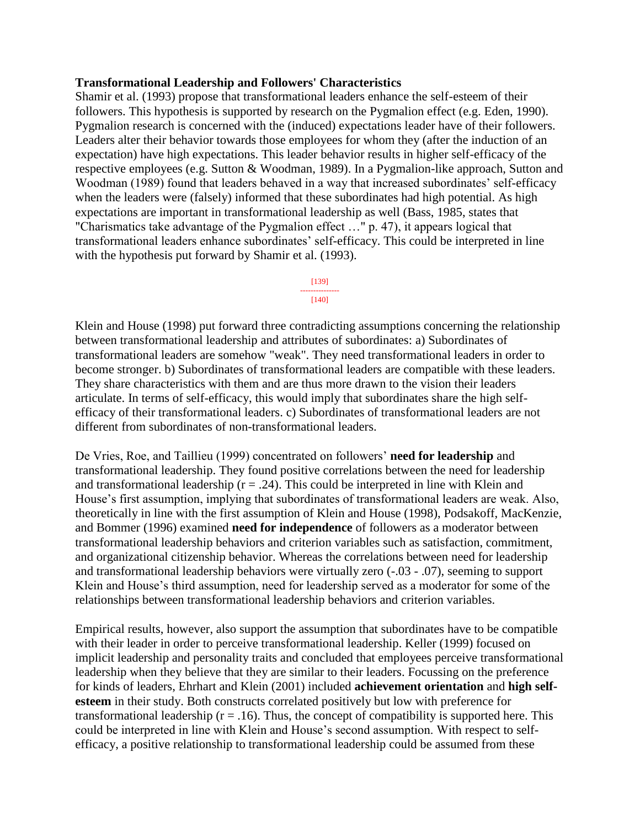#### **Transformational Leadership and Followers' Characteristics**

Shamir et al. (1993) propose that transformational leaders enhance the self-esteem of their followers. This hypothesis is supported by research on the Pygmalion effect (e.g. Eden, 1990). Pygmalion research is concerned with the (induced) expectations leader have of their followers. Leaders alter their behavior towards those employees for whom they (after the induction of an expectation) have high expectations. This leader behavior results in higher self-efficacy of the respective employees (e.g. Sutton & Woodman, 1989). In a Pygmalion-like approach, Sutton and Woodman (1989) found that leaders behaved in a way that increased subordinates' self-efficacy when the leaders were (falsely) informed that these subordinates had high potential. As high expectations are important in transformational leadership as well (Bass, 1985, states that "Charismatics take advantage of the Pygmalion effect …" p. 47), it appears logical that transformational leaders enhance subordinates' self-efficacy. This could be interpreted in line with the hypothesis put forward by Shamir et al. (1993).

#### [139] ---------------  $[140]$

Klein and House (1998) put forward three contradicting assumptions concerning the relationship between transformational leadership and attributes of subordinates: a) Subordinates of transformational leaders are somehow "weak". They need transformational leaders in order to become stronger. b) Subordinates of transformational leaders are compatible with these leaders. They share characteristics with them and are thus more drawn to the vision their leaders articulate. In terms of self-efficacy, this would imply that subordinates share the high selfefficacy of their transformational leaders. c) Subordinates of transformational leaders are not different from subordinates of non-transformational leaders.

De Vries, Roe, and Taillieu (1999) concentrated on followers' **need for leadership** and transformational leadership. They found positive correlations between the need for leadership and transformational leadership  $(r = .24)$ . This could be interpreted in line with Klein and House's first assumption, implying that subordinates of transformational leaders are weak. Also, theoretically in line with the first assumption of Klein and House (1998), Podsakoff, MacKenzie, and Bommer (1996) examined **need for independence** of followers as a moderator between transformational leadership behaviors and criterion variables such as satisfaction, commitment, and organizational citizenship behavior. Whereas the correlations between need for leadership and transformational leadership behaviors were virtually zero (-.03 - .07), seeming to support Klein and House's third assumption, need for leadership served as a moderator for some of the relationships between transformational leadership behaviors and criterion variables.

Empirical results, however, also support the assumption that subordinates have to be compatible with their leader in order to perceive transformational leadership. Keller (1999) focused on implicit leadership and personality traits and concluded that employees perceive transformational leadership when they believe that they are similar to their leaders. Focussing on the preference for kinds of leaders, Ehrhart and Klein (2001) included **achievement orientation** and **high selfesteem** in their study. Both constructs correlated positively but low with preference for transformational leadership ( $r = .16$ ). Thus, the concept of compatibility is supported here. This could be interpreted in line with Klein and House's second assumption. With respect to selfefficacy, a positive relationship to transformational leadership could be assumed from these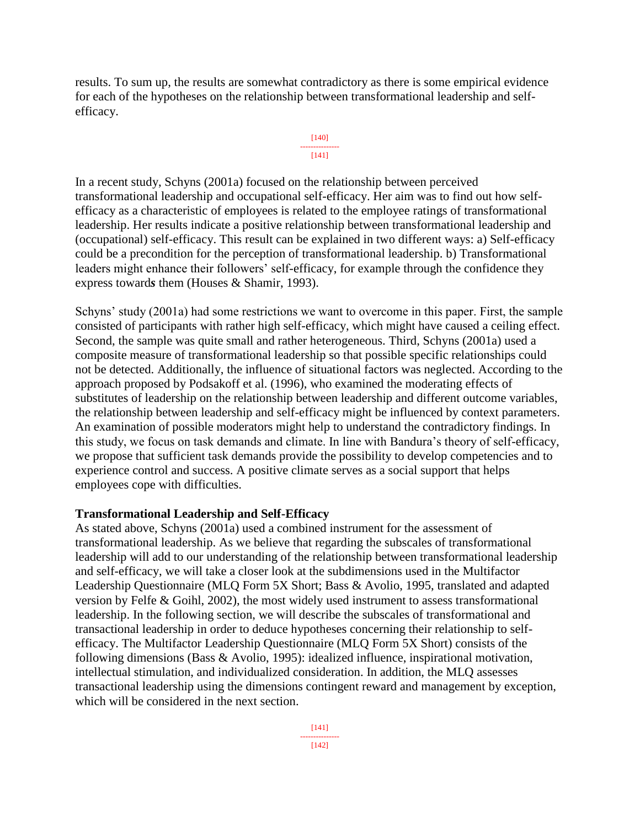results. To sum up, the results are somewhat contradictory as there is some empirical evidence for each of the hypotheses on the relationship between transformational leadership and selfefficacy.



In a recent study, Schyns (2001a) focused on the relationship between perceived transformational leadership and occupational self-efficacy. Her aim was to find out how selfefficacy as a characteristic of employees is related to the employee ratings of transformational leadership. Her results indicate a positive relationship between transformational leadership and (occupational) self-efficacy. This result can be explained in two different ways: a) Self-efficacy could be a precondition for the perception of transformational leadership. b) Transformational leaders might enhance their followers' self-efficacy, for example through the confidence they express toward*s* them (Houses & Shamir, 1993).

Schyns' study (2001a) had some restrictions we want to overcome in this paper. First, the sample consisted of participants with rather high self-efficacy, which might have caused a ceiling effect. Second, the sample was quite small and rather heterogeneous. Third, Schyns (2001a) used a composite measure of transformational leadership so that possible specific relationships could not be detected. Additionally, the influence of situational factors was neglected. According to the approach proposed by Podsakoff et al. (1996), who examined the moderating effects of substitutes of leadership on the relationship between leadership and different outcome variables, the relationship between leadership and self-efficacy might be influenced by context parameters. An examination of possible moderators might help to understand the contradictory findings. In this study, we focus on task demands and climate. In line with Bandura's theory of self-efficacy, we propose that sufficient task demands provide the possibility to develop competencies and to experience control and success. A positive climate serves as a social support that helps employees cope with difficulties.

# **Transformational Leadership and Self-Efficacy**

As stated above, Schyns (2001a) used a combined instrument for the assessment of transformational leadership. As we believe that regarding the subscales of transformational leadership will add to our understanding of the relationship between transformational leadership and self-efficacy, we will take a closer look at the subdimensions used in the Multifactor Leadership Questionnaire (MLQ Form 5X Short; Bass & Avolio, 1995, translated and adapted version by Felfe & Goihl, 2002), the most widely used instrument to assess transformational leadership. In the following section, we will describe the subscales of transformational and transactional leadership in order to deduce hypotheses concerning their relationship to selfefficacy. The Multifactor Leadership Questionnaire (MLQ Form 5X Short) consists of the following dimensions (Bass & Avolio, 1995): idealized influence, inspirational motivation, intellectual stimulation, and individualized consideration. In addition, the MLQ assesses transactional leadership using the dimensions contingent reward and management by exception, which will be considered in the next section.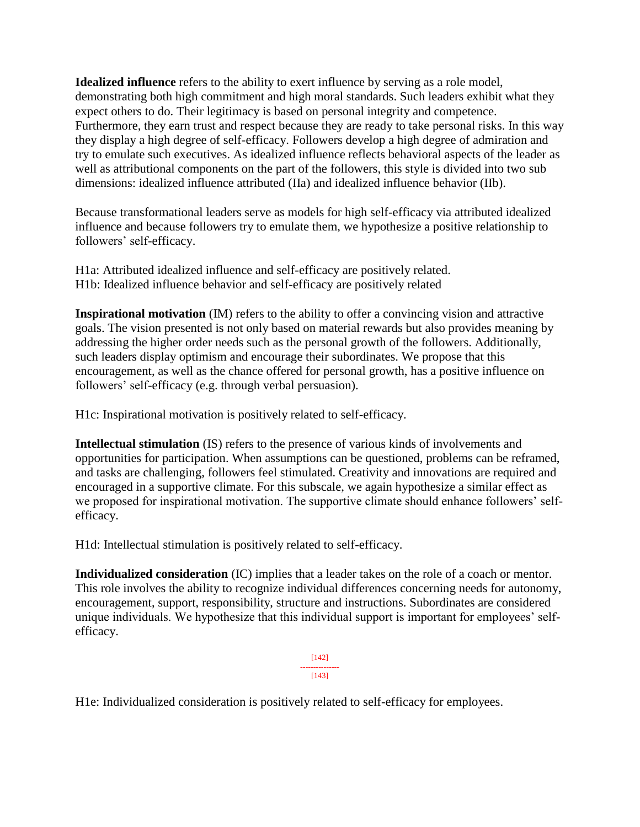**Idealized influence** refers to the ability to exert influence by serving as a role model, demonstrating both high commitment and high moral standards. Such leaders exhibit what they expect others to do. Their legitimacy is based on personal integrity and competence. Furthermore, they earn trust and respect because they are ready to take personal risks. In this way they display a high degree of self-efficacy. Followers develop a high degree of admiration and try to emulate such executives. As idealized influence reflects behavioral aspects of the leader as well as attributional components on the part of the followers, this style is divided into two sub dimensions: idealized influence attributed (IIa) and idealized influence behavior (IIb).

Because transformational leaders serve as models for high self-efficacy via attributed idealized influence and because followers try to emulate them, we hypothesize a positive relationship to followers' self-efficacy.

H1a: Attributed idealized influence and self-efficacy are positively related. H1b: Idealized influence behavior and self-efficacy are positively related

**Inspirational motivation** (IM) refers to the ability to offer a convincing vision and attractive goals. The vision presented is not only based on material rewards but also provides meaning by addressing the higher order needs such as the personal growth of the followers. Additionally, such leaders display optimism and encourage their subordinates. We propose that this encouragement, as well as the chance offered for personal growth, has a positive influence on followers' self-efficacy (e.g. through verbal persuasion).

H1c: Inspirational motivation is positively related to self-efficacy.

**Intellectual stimulation** (IS) refers to the presence of various kinds of involvements and opportunities for participation. When assumptions can be questioned, problems can be reframed, and tasks are challenging, followers feel stimulated. Creativity and innovations are required and encouraged in a supportive climate. For this subscale, we again hypothesize a similar effect as we proposed for inspirational motivation. The supportive climate should enhance followers' selfefficacy.

H1d: Intellectual stimulation is positively related to self-efficacy.

**Individualized consideration** (IC) implies that a leader takes on the role of a coach or mentor. This role involves the ability to recognize individual differences concerning needs for autonomy, encouragement, support, responsibility, structure and instructions. Subordinates are considered unique individuals. We hypothesize that this individual support is important for employees' selfefficacy.

> [142] --------------- [143]

H1e: Individualized consideration is positively related to self-efficacy for employees.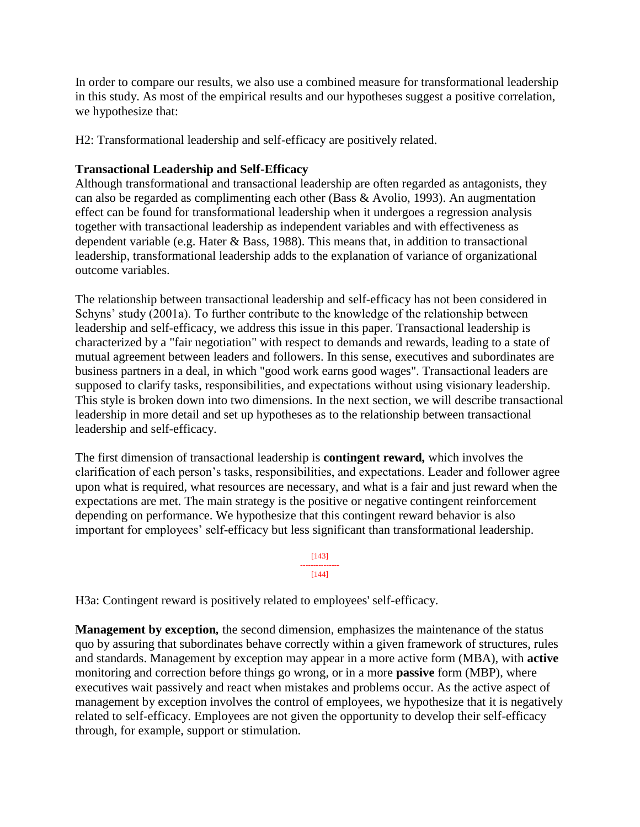In order to compare our results, we also use a combined measure for transformational leadership in this study. As most of the empirical results and our hypotheses suggest a positive correlation, we hypothesize that:

H2: Transformational leadership and self-efficacy are positively related.

#### **Transactional Leadership and Self-Efficacy**

Although transformational and transactional leadership are often regarded as antagonists, they can also be regarded as complimenting each other (Bass & Avolio, 1993). An augmentation effect can be found for transformational leadership when it undergoes a regression analysis together with transactional leadership as independent variables and with effectiveness as dependent variable (e.g. Hater & Bass, 1988). This means that, in addition to transactional leadership, transformational leadership adds to the explanation of variance of organizational outcome variables.

The relationship between transactional leadership and self-efficacy has not been considered in Schyns' study (2001a). To further contribute to the knowledge of the relationship between leadership and self-efficacy, we address this issue in this paper. Transactional leadership is characterized by a "fair negotiation" with respect to demands and rewards, leading to a state of mutual agreement between leaders and followers. In this sense, executives and subordinates are business partners in a deal, in which "good work earns good wages". Transactional leaders are supposed to clarify tasks, responsibilities, and expectations without using visionary leadership. This style is broken down into two dimensions. In the next section, we will describe transactional leadership in more detail and set up hypotheses as to the relationship between transactional leadership and self-efficacy.

The first dimension of transactional leadership is **contingent reward***,* which involves the clarification of each person's tasks, responsibilities, and expectations. Leader and follower agree upon what is required, what resources are necessary, and what is a fair and just reward when the expectations are met. The main strategy is the positive or negative contingent reinforcement depending on performance. We hypothesize that this contingent reward behavior is also important for employees' self-efficacy but less significant than transformational leadership.



H3a: Contingent reward is positively related to employees' self-efficacy.

**Management by exception***,* the second dimension, emphasizes the maintenance of the status quo by assuring that subordinates behave correctly within a given framework of structures, rules and standards. Management by exception may appear in a more active form (MBA), with **active** monitoring and correction before things go wrong, or in a more **passive** form (MBP), where executives wait passively and react when mistakes and problems occur. As the active aspect of management by exception involves the control of employees, we hypothesize that it is negatively related to self-efficacy. Employees are not given the opportunity to develop their self-efficacy through, for example, support or stimulation.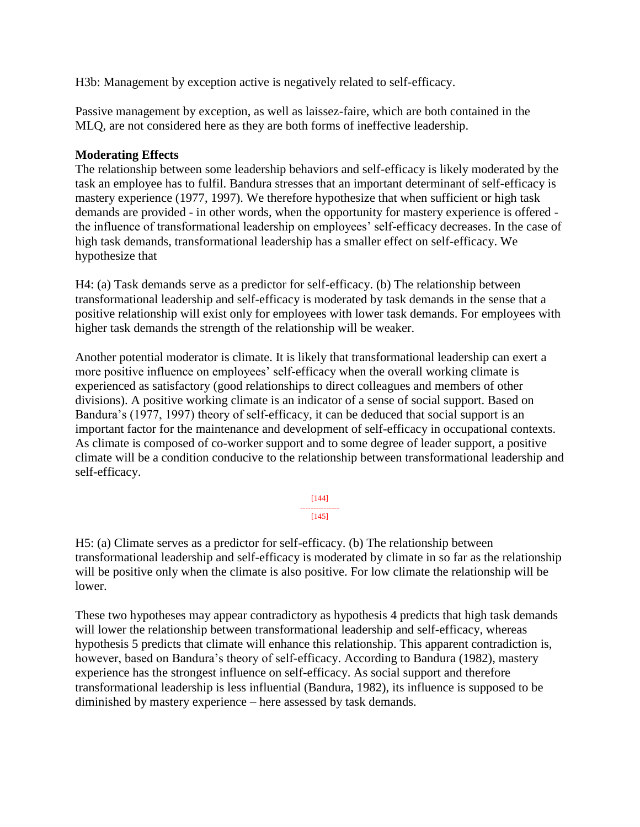H3b: Management by exception active is negatively related to self-efficacy.

Passive management by exception, as well as laissez-faire, which are both contained in the MLQ, are not considered here as they are both forms of ineffective leadership.

#### **Moderating Effects**

The relationship between some leadership behaviors and self-efficacy is likely moderated by the task an employee has to fulfil. Bandura stresses that an important determinant of self-efficacy is mastery experience (1977, 1997). We therefore hypothesize that when sufficient or high task demands are provided - in other words, when the opportunity for mastery experience is offered the influence of transformational leadership on employees' self-efficacy decreases. In the case of high task demands, transformational leadership has a smaller effect on self-efficacy. We hypothesize that

H4: (a) Task demands serve as a predictor for self-efficacy. (b) The relationship between transformational leadership and self-efficacy is moderated by task demands in the sense that a positive relationship will exist only for employees with lower task demands. For employees with higher task demands the strength of the relationship will be weaker.

Another potential moderator is climate. It is likely that transformational leadership can exert a more positive influence on employees' self-efficacy when the overall working climate is experienced as satisfactory (good relationships to direct colleagues and members of other divisions). A positive working climate is an indicator of a sense of social support. Based on Bandura's (1977, 1997) theory of self-efficacy, it can be deduced that social support is an important factor for the maintenance and development of self-efficacy in occupational contexts. As climate is composed of co-worker support and to some degree of leader support, a positive climate will be a condition conducive to the relationship between transformational leadership and self-efficacy.

> [144] --------------- [145]

H5: (a) Climate serves as a predictor for self-efficacy. (b) The relationship between transformational leadership and self-efficacy is moderated by climate in so far as the relationship will be positive only when the climate is also positive. For low climate the relationship will be lower.

These two hypotheses may appear contradictory as hypothesis 4 predicts that high task demands will lower the relationship between transformational leadership and self-efficacy, whereas hypothesis 5 predicts that climate will enhance this relationship. This apparent contradiction is, however, based on Bandura's theory of self-efficacy. According to Bandura (1982), mastery experience has the strongest influence on self-efficacy. As social support and therefore transformational leadership is less influential (Bandura, 1982), its influence is supposed to be diminished by mastery experience – here assessed by task demands.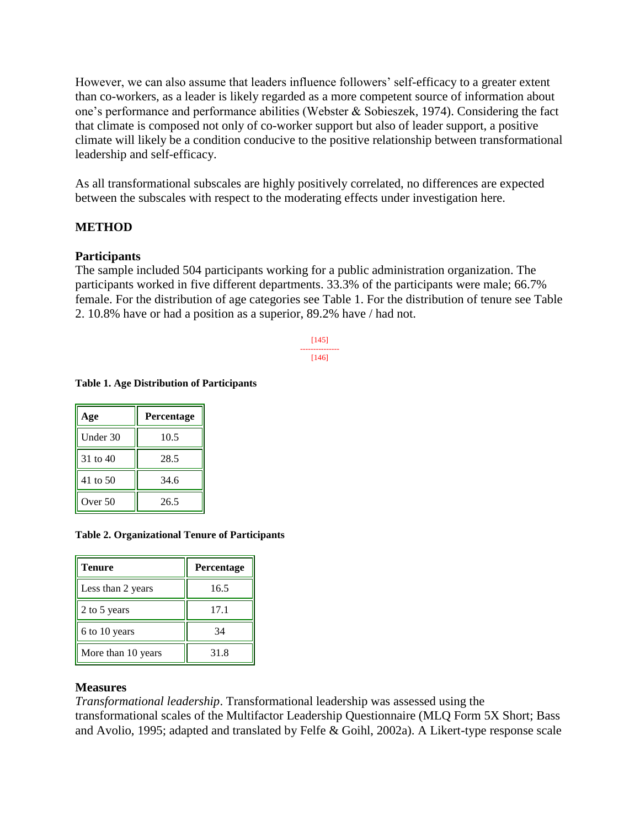However, we can also assume that leaders influence followers' self-efficacy to a greater extent than co-workers, as a leader is likely regarded as a more competent source of information about one's performance and performance abilities (Webster & Sobieszek, 1974). Considering the fact that climate is composed not only of co-worker support but also of leader support, a positive climate will likely be a condition conducive to the positive relationship between transformational leadership and self-efficacy.

As all transformational subscales are highly positively correlated, no differences are expected between the subscales with respect to the moderating effects under investigation here.

#### **METHOD**

#### **Participants**

The sample included 504 participants working for a public administration organization. The participants worked in five different departments. 33.3% of the participants were male; 66.7% female. For the distribution of age categories see Table 1. For the distribution of tenure see Table 2. 10.8% have or had a position as a superior, 89.2% have / had not.

> [145] --------------- [146]

# **Table 1. Age Distribution of Participants**

| Age      | <b>Percentage</b> |
|----------|-------------------|
| Under 30 | 10.5              |
| 31 to 40 | 28.5              |
| 41 to 50 | 34.6              |
| Over 50  | 26.5              |

#### **Table 2. Organizational Tenure of Participants**

| <b>Tenure</b>      | <b>Percentage</b> |
|--------------------|-------------------|
| Less than 2 years  | 16.5              |
| 2 to 5 years       | 17.1              |
| 6 to 10 years      | 34                |
| More than 10 years | 31.8              |

#### **Measures**

*Transformational leadership*. Transformational leadership was assessed using the transformational scales of the Multifactor Leadership Questionnaire (MLQ Form 5X Short; Bass and Avolio, 1995; adapted and translated by Felfe & Goihl, 2002a). A Likert-type response scale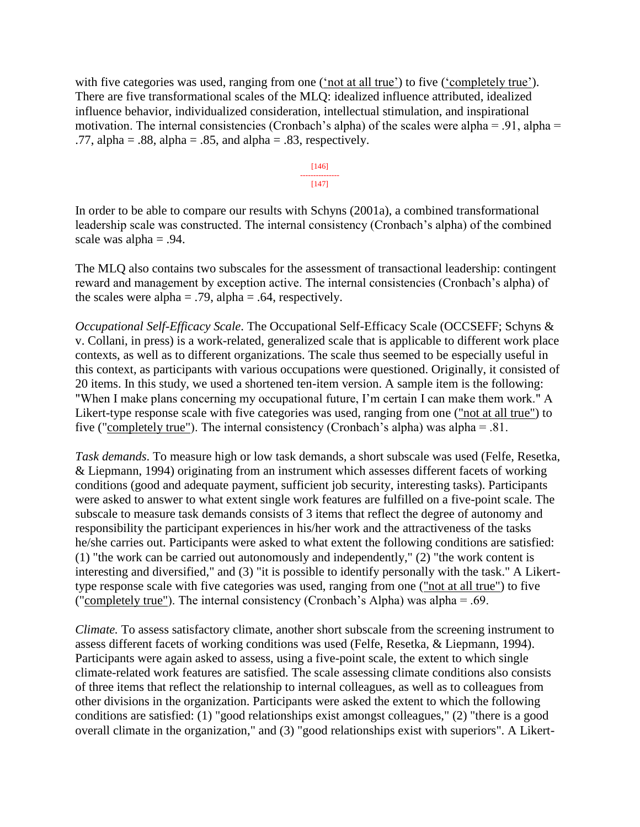with five categories was used, ranging from one ('not at all true') to five ('completely true'). There are five transformational scales of the MLQ: idealized influence attributed, idealized influence behavior, individualized consideration, intellectual stimulation, and inspirational motivation. The internal consistencies (Cronbach's alpha) of the scales were alpha = .91, alpha = .77, alpha =  $.88$ , alpha =  $.85$ , and alpha =  $.83$ , respectively.

> [146] --------------- [147]

In order to be able to compare our results with Schyns (2001a), a combined transformational leadership scale was constructed. The internal consistency (Cronbach's alpha) of the combined scale was alpha  $= .94$ .

The MLQ also contains two subscales for the assessment of transactional leadership: contingent reward and management by exception active. The internal consistencies (Cronbach's alpha) of the scales were alpha =  $.79$ , alpha =  $.64$ , respectively.

*Occupational Self-Efficacy Scale*. The Occupational Self-Efficacy Scale (OCCSEFF; Schyns & v. Collani, in press) is a work-related, generalized scale that is applicable to different work place contexts, as well as to different organizations. The scale thus seemed to be especially useful in this context, as participants with various occupations were questioned. Originally, it consisted of 20 items. In this study, we used a shortened ten-item version. A sample item is the following: "When I make plans concerning my occupational future, I'm certain I can make them work." A Likert-type response scale with five categories was used, ranging from one ("not at all true") to five ("completely true"). The internal consistency (Cronbach's alpha) was alpha = .81.

*Task demands*. To measure high or low task demands, a short subscale was used (Felfe, Resetka, & Liepmann, 1994) originating from an instrument which assesses different facets of working conditions (good and adequate payment, sufficient job security, interesting tasks). Participants were asked to answer to what extent single work features are fulfilled on a five-point scale. The subscale to measure task demands consists of 3 items that reflect the degree of autonomy and responsibility the participant experiences in his/her work and the attractiveness of the tasks he/she carries out. Participants were asked to what extent the following conditions are satisfied: (1) "the work can be carried out autonomously and independently," (2) "the work content is interesting and diversified," and (3) "it is possible to identify personally with the task." A Likerttype response scale with five categories was used, ranging from one ("not at all true") to five ("completely true"). The internal consistency (Cronbach's Alpha) was alpha = .69.

*Climate.* To assess satisfactory climate, another short subscale from the screening instrument to assess different facets of working conditions was used (Felfe, Resetka, & Liepmann, 1994). Participants were again asked to assess, using a five-point scale, the extent to which single climate-related work features are satisfied. The scale assessing climate conditions also consists of three items that reflect the relationship to internal colleagues, as well as to colleagues from other divisions in the organization. Participants were asked the extent to which the following conditions are satisfied: (1) "good relationships exist amongst colleagues," (2) "there is a good overall climate in the organization," and (3) "good relationships exist with superiors". A Likert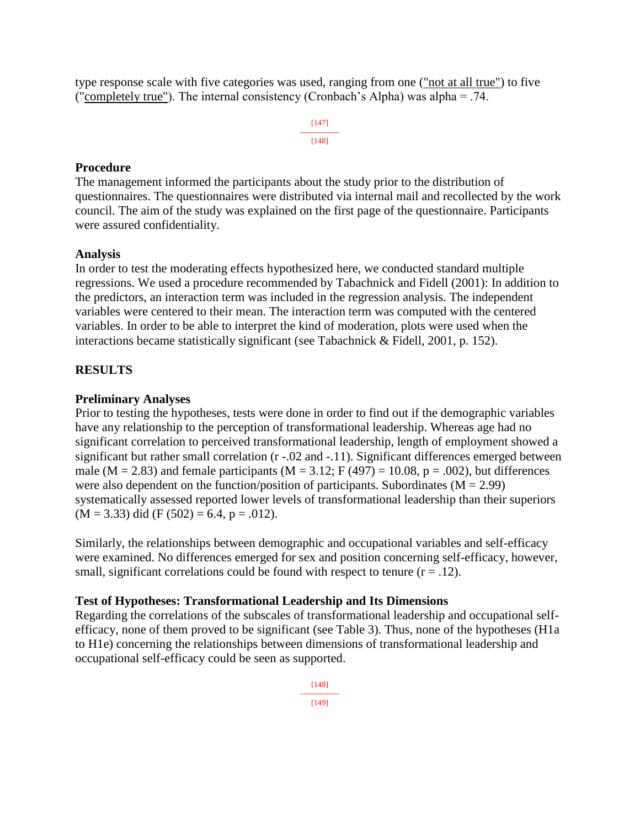type response scale with five categories was used, ranging from one ("not at all true") to five ("completely true"). The internal consistency (Cronbach's Alpha) was alpha = .74.

> [147] --------------- [148]

#### **Procedure**

The management informed the participants about the study prior to the distribution of questionnaires. The questionnaires were distributed via internal mail and recollected by the work council. The aim of the study was explained on the first page of the questionnaire. Participants were assured confidentiality.

#### **Analysis**

In order to test the moderating effects hypothesized here, we conducted standard multiple regressions. We used a procedure recommended by Tabachnick and Fidell (2001): In addition to the predictors, an interaction term was included in the regression analysis. The independent variables were centered to their mean. The interaction term was computed with the centered variables. In order to be able to interpret the kind of moderation, plots were used when the interactions became statistically significant (see Tabachnick & Fidell, 2001, p. 152).

# **RESULTS**

#### **Preliminary Analyses**

Prior to testing the hypotheses, tests were done in order to find out if the demographic variables have any relationship to the perception of transformational leadership. Whereas age had no significant correlation to perceived transformational leadership, length of employment showed a significant but rather small correlation (r -.02 and -.11). Significant differences emerged between male ( $M = 2.83$ ) and female participants ( $M = 3.12$ ; F (497) = 10.08, p = .002), but differences were also dependent on the function/position of participants. Subordinates  $(M = 2.99)$ systematically assessed reported lower levels of transformational leadership than their superiors  $(M = 3.33)$  did  $(F (502) = 6.4, p = .012)$ .

Similarly, the relationships between demographic and occupational variables and self-efficacy were examined. No differences emerged for sex and position concerning self-efficacy, however, small, significant correlations could be found with respect to tenure  $(r = .12)$ .

# **Test of Hypotheses: Transformational Leadership and Its Dimensions**

Regarding the correlations of the subscales of transformational leadership and occupational selfefficacy, none of them proved to be significant (see Table 3). Thus, none of the hypotheses (H1a to H1e) concerning the relationships between dimensions of transformational leadership and occupational self-efficacy could be seen as supported.

> [148] --------------- [149]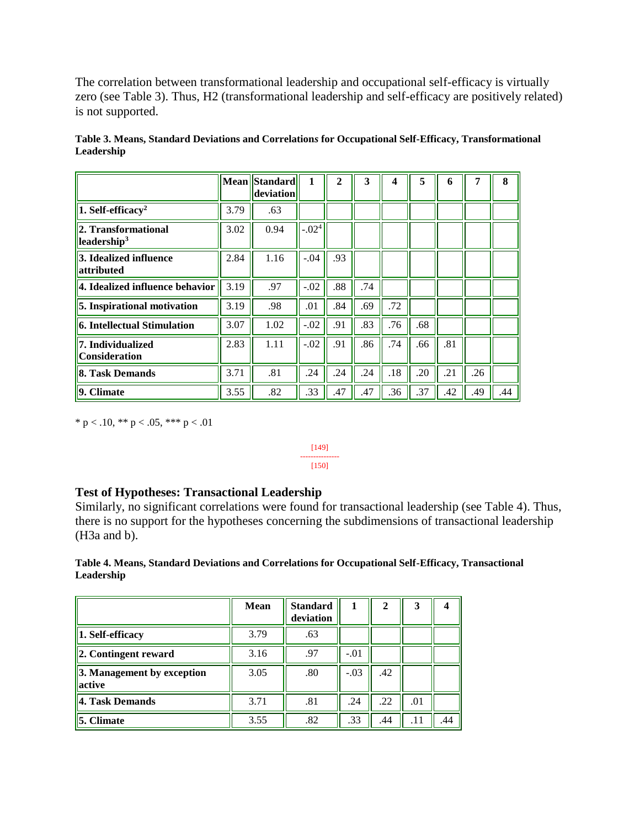The correlation between transformational leadership and occupational self-efficacy is virtually zero (see Table 3). Thus, H2 (transformational leadership and self-efficacy are positively related) is not supported.

|                                                            |      | Mean Standard<br>deviation | 1        | $\mathbf{2}$ | 3   | $\boldsymbol{4}$ | 5   | 6   | 7   | 8   |
|------------------------------------------------------------|------|----------------------------|----------|--------------|-----|------------------|-----|-----|-----|-----|
| $\ 1. \text{ Self-efficacy}^2\ $                           | 3.79 | .63                        |          |              |     |                  |     |     |     |     |
| 2. Transformational<br>$\parallel$ leadership <sup>3</sup> | 3.02 | 0.94                       | $-0.024$ |              |     |                  |     |     |     |     |
| $\vert$ 3. Idealized influence<br>attributed               | 2.84 | 1.16                       | $-.04$   | .93          |     |                  |     |     |     |     |
| 4. Idealized influence behavior                            | 3.19 | .97                        | $-.02$   | .88          | .74 |                  |     |     |     |     |
| 5. Inspirational motivation                                | 3.19 | .98                        | .01      | .84          | .69 | .72              |     |     |     |     |
| 6. Intellectual Stimulation                                | 3.07 | 1.02                       | $-.02$   | .91          | .83 | .76              | .68 |     |     |     |
| <b>7. Individualized</b><br><b>Consideration</b>           | 2.83 | 1.11                       | $-.02$   | .91          | .86 | .74              | .66 | .81 |     |     |
| 8. Task Demands                                            | 3.71 | .81                        | .24      | .24          | .24 | .18              | .20 | .21 | .26 |     |
| 9. Climate                                                 | 3.55 | .82                        | .33      | .47          | .47 | .36              | .37 | .42 | .49 | .44 |

**Table 3. Means, Standard Deviations and Correlation***s* **for Occupational Self-Efficacy, Transformational Leadership**

\* p < .10, \*\* p < .05, \*\*\* p < .01

[149] --------------- [150]

# **Test of Hypotheses: Transactional Leadership**

Similarly, no significant correlations were found for transactional leadership (see Table 4). Thus, there is no support for the hypotheses concerning the subdimensions of transactional leadership (H3a and b).

**Table 4. Means, Standard Deviations and Correlations for Occupational Self-Efficacy, Transactional Leadership** 

|                                                             | <b>Mean</b> | <b>Standard</b><br>deviation | 1      | $\mathbf{2}$ | 3   |     |
|-------------------------------------------------------------|-------------|------------------------------|--------|--------------|-----|-----|
| $\vert$ 1. Self-efficacy                                    | 3.79        | .63                          |        |              |     |     |
| $\vert$ 2. Contingent reward                                | 3.16        | .97                          | $-.01$ |              |     |     |
| $\left 3. \right $ Management by exception<br><b>active</b> | 3.05        | .80                          | $-.03$ | .42          |     |     |
| 4. Task Demands                                             | 3.71        | .81                          | .24    | .22          | .01 |     |
| <b>5. Climate</b>                                           | 3.55        | .82                          | .33    | .44          | .11 | .44 |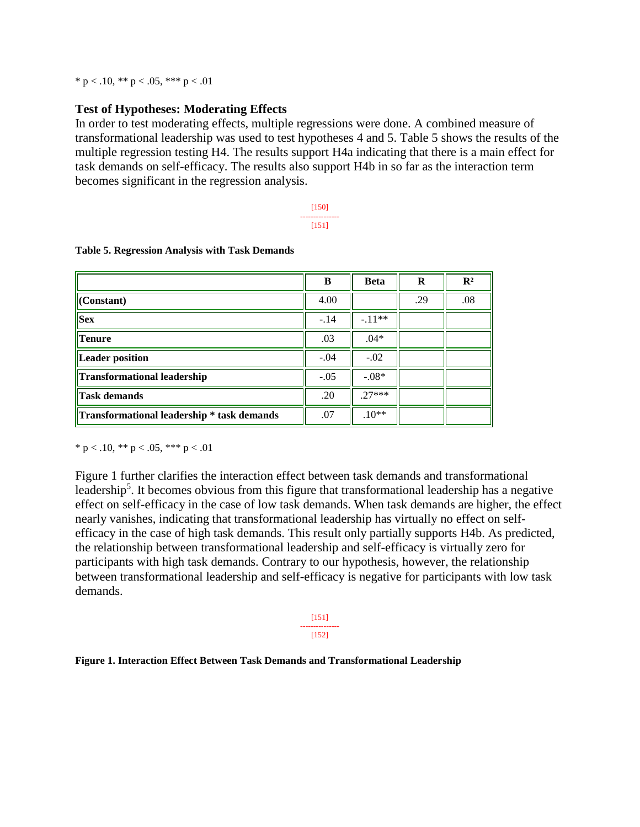\* p < .10, \*\* p < .05, \*\*\* p < .01

#### **Test of Hypotheses: Moderating Effects**

In order to test moderating effects, multiple regressions were done. A combined measure of transformational leadership was used to test hypotheses 4 and 5. Table 5 shows the results of the multiple regression testing H4. The results support H4a indicating that there is a main effect for task demands on self-efficacy. The results also support H4b in so far as the interaction term becomes significant in the regression analysis.

> [150] --------------- [151]

|                                            | B      | <b>Beta</b> | R   | $\mathbf{R}^2$ |
|--------------------------------------------|--------|-------------|-----|----------------|
| $\vert$ (Constant)                         | 4.00   |             | .29 | .08            |
| <b>Sex</b>                                 | $-.14$ | $-.11**$    |     |                |
| <b>Tenure</b>                              | .03    | $.04*$      |     |                |
| Leader position                            | $-.04$ | $-.02$      |     |                |
| Transformational leadership                | $-.05$ | $-.08*$     |     |                |
| <b>Task demands</b>                        | .20    | $27***$     |     |                |
| Transformational leadership * task demands | .07    | $.10**$     |     |                |

#### **Table 5. Regression Analysis with Task Demands**

\* p < .10, \*\* p < .05, \*\*\* p < .01

Figure 1 further clarifies the interaction effect between task demands and transformational leadership<sup>5</sup>. It becomes obvious from this figure that transformational leadership has a negative effect on self-efficacy in the case of low task demands. When task demands are higher, the effect nearly vanishes, indicating that transformational leadership has virtually no effect on selfefficacy in the case of high task demands. This result only partially supports H4b. As predicted, the relationship between transformational leadership and self-efficacy is virtually zero for participants with high task demands. Contrary to our hypothesis, however, the relationship between transformational leadership and self-efficacy is negative for participants with low task demands.

> [151] --------------- [152]

#### **Figure 1. Interaction Effect Between Task Demands and Transformational Leadership**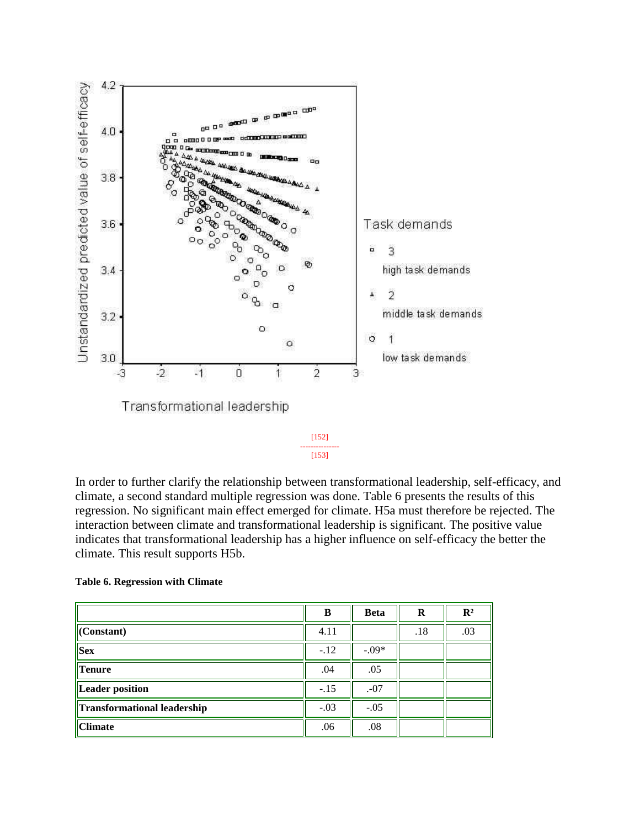

In order to further clarify the relationship between transformational leadership, self-efficacy, and climate, a second standard multiple regression was done. Table 6 presents the results of this regression. No significant main effect emerged for climate. H5a must therefore be rejected. The interaction between climate and transformational leadership is significant. The positive value indicates that transformational leadership has a higher influence on self-efficacy the better the climate. This result supports H5b.

[153]

#### **Table 6. Regression with Climate**

|                                    | B      | <b>Beta</b> | R   | $\mathbf{R}^2$ |
|------------------------------------|--------|-------------|-----|----------------|
| $\vert$ (Constant)                 | 4.11   |             | .18 | .03            |
| $\ $ Sex                           | $-.12$ | $-.09*$     |     |                |
| $\ $ Tenure                        | .04    | .05         |     |                |
| Leader position                    | $-.15$ | .07         |     |                |
| <b>Transformational leadership</b> | $-.03$ | $-.05$      |     |                |
| $ $ Climate                        | .06    | .08         |     |                |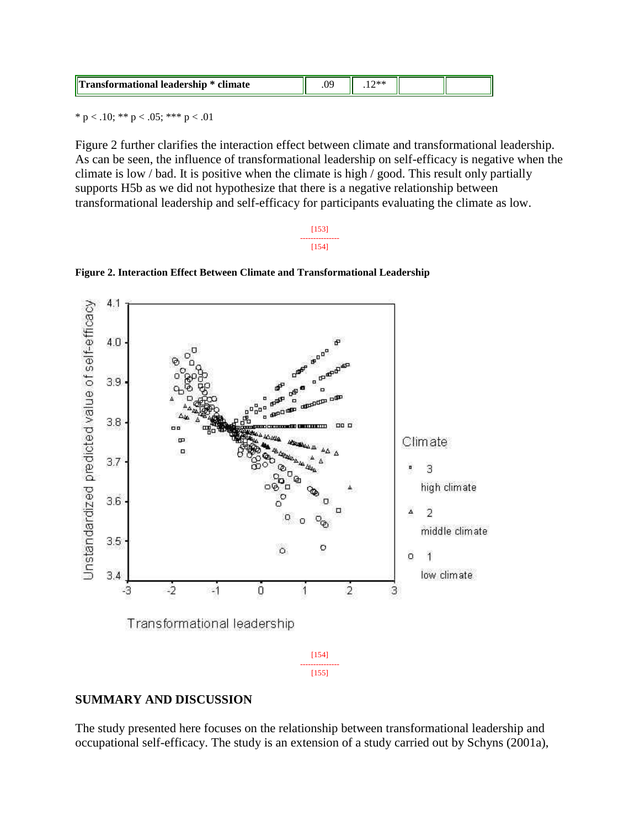|  | llт<br>rmational leadership * climate | м<br>$\cdot$ |  |  |  |
|--|---------------------------------------|--------------|--|--|--|
|--|---------------------------------------|--------------|--|--|--|

\* p < .10; \*\* p < .05; \*\*\* p < .01

Figure 2 further clarifies the interaction effect between climate and transformational leadership. As can be seen, the influence of transformational leadership on self-efficacy is negative when the climate is low / bad. It is positive when the climate is high / good. This result only partially supports H5b as we did not hypothesize that there is a negative relationship between transformational leadership and self-efficacy for participants evaluating the climate as low.

#### [153] --------------- [154]



**Figure 2. Interaction Effect Between Climate and Transformational Leadership**

#### **SUMMARY AND DISCUSSION**

The study presented here focuses on the relationship between transformational leadership and occupational self-efficacy. The study is an extension of a study carried out by Schyns (2001a),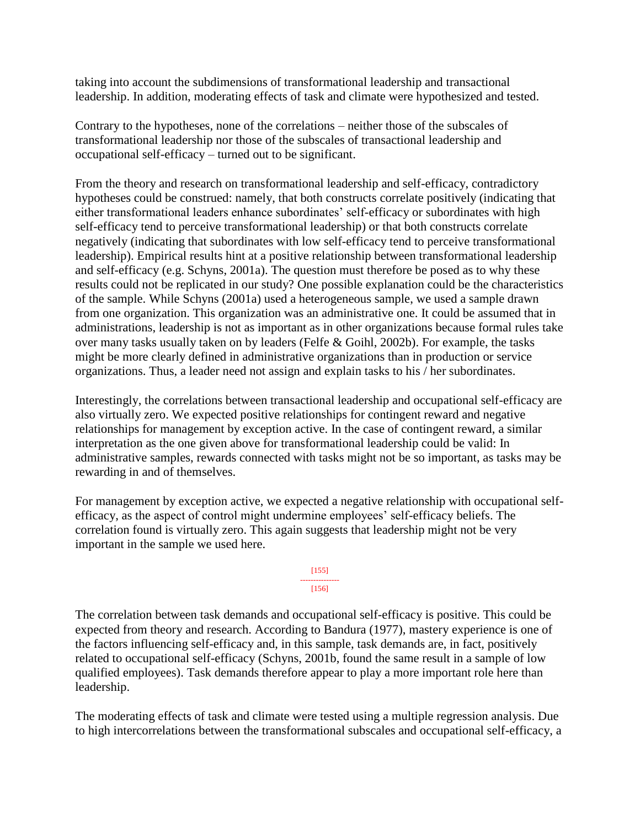taking into account the subdimensions of transformational leadership and transactional leadership. In addition, moderating effects of task and climate were hypothesized and tested.

Contrary to the hypotheses, none of the correlations – neither those of the subscales of transformational leadership nor those of the subscales of transactional leadership and occupational self-efficacy – turned out to be significant.

From the theory and research on transformational leadership and self-efficacy, contradictory hypotheses could be construed: namely, that both constructs correlate positively (indicating that either transformational leaders enhance subordinates' self-efficacy or subordinates with high self-efficacy tend to perceive transformational leadership) or that both constructs correlate negatively (indicating that subordinates with low self-efficacy tend to perceive transformational leadership). Empirical results hint at a positive relationship between transformational leadership and self-efficacy (e.g. Schyns, 2001a). The question must therefore be posed as to why these results could not be replicated in our study? One possible explanation could be the characteristics of the sample. While Schyns (2001a) used a heterogeneous sample, we used a sample drawn from one organization. This organization was an administrative one. It could be assumed that in administrations, leadership is not as important as in other organizations because formal rules take over many tasks usually taken on by leaders (Felfe & Goihl, 2002b). For example, the tasks might be more clearly defined in administrative organizations than in production or service organizations. Thus, a leader need not assign and explain tasks to his / her subordinates.

Interestingly, the correlations between transactional leadership and occupational self-efficacy are also virtually zero. We expected positive relationships for contingent reward and negative relationships for management by exception active. In the case of contingent reward, a similar interpretation as the one given above for transformational leadership could be valid: In administrative samples, rewards connected with tasks might not be so important, as tasks may be rewarding in and of themselves.

For management by exception active, we expected a negative relationship with occupational selfefficacy, as the aspect of control might undermine employees' self-efficacy beliefs. The correlation found is virtually zero. This again suggests that leadership might not be very important in the sample we used here.

> [155] --------------- [156]

The correlation between task demands and occupational self-efficacy is positive. This could be expected from theory and research. According to Bandura (1977), mastery experience is one of the factors influencing self-efficacy and, in this sample, task demands are, in fact, positively related to occupational self-efficacy (Schyns, 2001b, found the same result in a sample of low qualified employees). Task demands therefore appear to play a more important role here than leadership.

The moderating effects of task and climate were tested using a multiple regression analysis. Due to high intercorrelations between the transformational subscales and occupational self-efficacy, a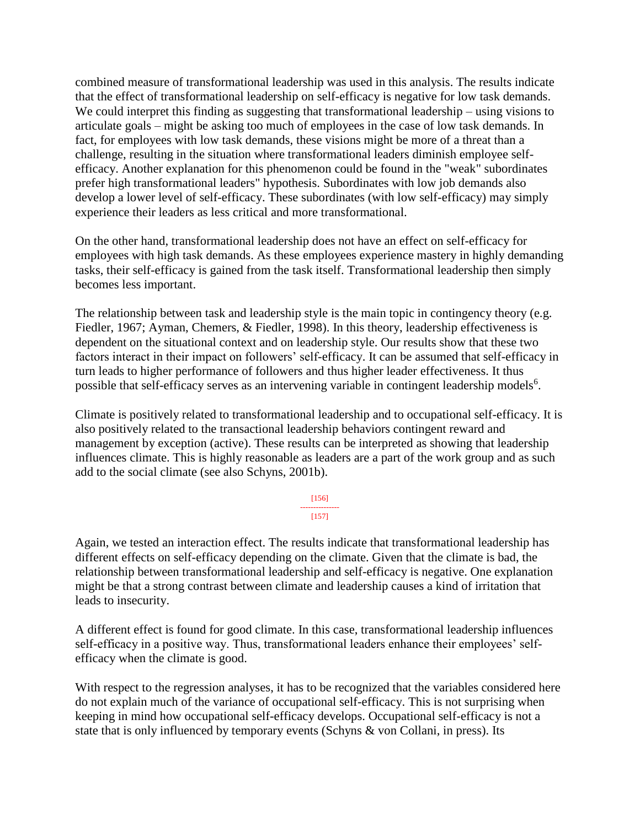combined measure of transformational leadership was used in this analysis. The results indicate that the effect of transformational leadership on self-efficacy is negative for low task demands. We could interpret this finding as suggesting that transformational leadership – using visions to articulate goals – might be asking too much of employees in the case of low task demands. In fact, for employees with low task demands, these visions might be more of a threat than a challenge, resulting in the situation where transformational leaders diminish employee selfefficacy. Another explanation for this phenomenon could be found in the "weak" subordinates prefer high transformational leaders" hypothesis. Subordinates with low job demands also develop a lower level of self-efficacy. These subordinates (with low self-efficacy) may simply experience their leaders as less critical and more transformational.

On the other hand, transformational leadership does not have an effect on self-efficacy for employees with high task demands. As these employees experience mastery in highly demanding tasks, their self-efficacy is gained from the task itself. Transformational leadership then simply becomes less important.

The relationship between task and leadership style is the main topic in contingency theory (e.g. Fiedler, 1967; Ayman, Chemers, & Fiedler, 1998). In this theory, leadership effectiveness is dependent on the situational context and on leadership style. Our results show that these two factors interact in their impact on followers' self-efficacy. It can be assumed that self-efficacy in turn leads to higher performance of followers and thus higher leader effectiveness. It thus possible that self-efficacy serves as an intervening variable in contingent leadership models $6$ .

Climate is positively related to transformational leadership and to occupational self-efficacy. It is also positively related to the transactional leadership behaviors contingent reward and management by exception (active). These results can be interpreted as showing that leadership influences climate. This is highly reasonable as leaders are a part of the work group and as such add to the social climate (see also Schyns, 2001b).

> [156] --------------- [157]

Again, we tested an interaction effect. The results indicate that transformational leadership has different effects on self-efficacy depending on the climate. Given that the climate is bad, the relationship between transformational leadership and self-efficacy is negative. One explanation might be that a strong contrast between climate and leadership causes a kind of irritation that leads to insecurity.

A different effect is found for good climate. In this case, transformational leadership influences self-efficacy in a positive way. Thus, transformational leaders enhance their employees' selfefficacy when the climate is good.

With respect to the regression analyses, it has to be recognized that the variables considered here do not explain much of the variance of occupational self-efficacy. This is not surprising when keeping in mind how occupational self-efficacy develops. Occupational self-efficacy is not a state that is only influenced by temporary events (Schyns & von Collani, in press). Its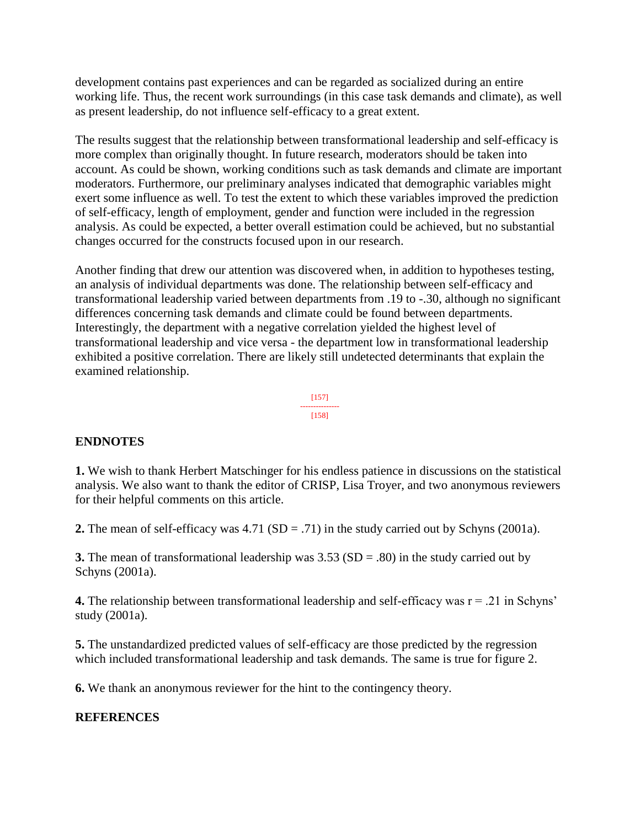development contains past experiences and can be regarded as socialized during an entire working life. Thus, the recent work surroundings (in this case task demands and climate), as well as present leadership, do not influence self-efficacy to a great extent.

The results suggest that the relationship between transformational leadership and self-efficacy is more complex than originally thought. In future research, moderators should be taken into account. As could be shown, working conditions such as task demands and climate are important moderators. Furthermore, our preliminary analyses indicated that demographic variables might exert some influence as well. To test the extent to which these variables improved the prediction of self-efficacy, length of employment, gender and function were included in the regression analysis. As could be expected, a better overall estimation could be achieved, but no substantial changes occurred for the constructs focused upon in our research.

Another finding that drew our attention was discovered when, in addition to hypotheses testing, an analysis of individual departments was done. The relationship between self-efficacy and transformational leadership varied between departments from .19 to -.30, although no significant differences concerning task demands and climate could be found between departments. Interestingly, the department with a negative correlation yielded the highest level of transformational leadership and vice versa - the department low in transformational leadership exhibited a positive correlation. There are likely still undetected determinants that explain the examined relationship.

$$
\begin{array}{c}\n[157] \\
158\n\end{array}
$$

# **ENDNOTES**

**1.** We wish to thank Herbert Matschinger for his endless patience in discussions on the statistical analysis. We also want to thank the editor of CRISP, Lisa Troyer, and two anonymous reviewers for their helpful comments on this article.

**2.** The mean of self-efficacy was 4.71 (SD = .71) in the study carried out by Schyns (2001a).

**3.** The mean of transformational leadership was 3.53 (SD = .80) in the study carried out by Schyns (2001a).

**4.** The relationship between transformational leadership and self-efficacy was r = .21 in Schyns' study (2001a).

**5.** The unstandardized predicted values of self-efficacy are those predicted by the regression which included transformational leadership and task demands. The same is true for figure 2.

**6.** We thank an anonymous reviewer for the hint to the contingency theory.

# **REFERENCES**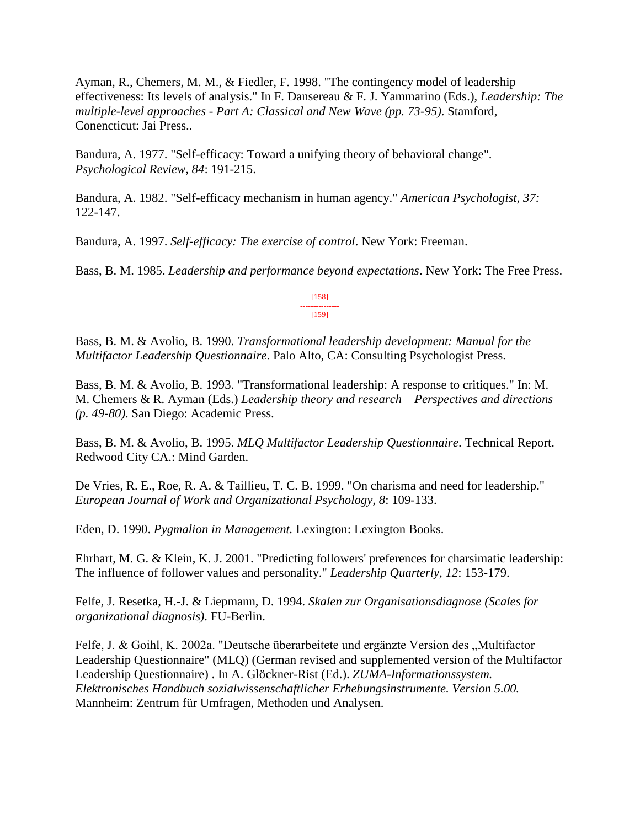Ayman, R., Chemers, M. M., & Fiedler, F. 1998. "The contingency model of leadership effectiveness: Its levels of analysis." In F. Dansereau & F. J. Yammarino (Eds.), *Leadership: The multiple-level approaches - Part A: Classical and New Wave (pp. 73-95)*. Stamford, Conencticut: Jai Press..

Bandura, A. 1977. "Self-efficacy: Toward a unifying theory of behavioral change". *Psychological Review, 84*: 191-215.

Bandura, A. 1982. "Self-efficacy mechanism in human agency." *American Psychologist, 37:* 122-147.

Bandura, A. 1997. *Self-efficacy: The exercise of control*. New York: Freeman.

Bass, B. M. 1985. *Leadership and performance beyond expectations*. New York: The Free Press.

[158] --------------- [159]

Bass, B. M. & Avolio, B. 1990. *Transformational leadership development: Manual for the Multifactor Leadership Questionnaire*. Palo Alto, CA: Consulting Psychologist Press.

Bass, B. M. & Avolio, B. 1993. "Transformational leadership: A response to critiques." In: M. M. Chemers & R. Ayman (Eds.) *Leadership theory and research – Perspectives and directions (p. 49-80)*. San Diego: Academic Press.

Bass, B. M. & Avolio, B. 1995. *MLQ Multifactor Leadership Questionnaire*. Technical Report. Redwood City CA.: Mind Garden.

De Vries, R. E., Roe, R. A. & Taillieu, T. C. B. 1999. "On charisma and need for leadership." *European Journal of Work and Organizational Psychology, 8*: 109-133.

Eden, D. 1990. *Pygmalion in Management.* Lexington: Lexington Books.

Ehrhart, M. G. & Klein, K. J. 2001. "Predicting followers' preferences for charsimatic leadership: The influence of follower values and personality." *Leadership Quarterly, 12*: 153-179.

Felfe, J. Resetka, H.-J. & Liepmann, D. 1994. *Skalen zur Organisationsdiagnose (Scales for organizational diagnosis)*. FU-Berlin.

Felfe, J. & Goihl, K. 2002a. "Deutsche überarbeitete und ergänzte Version des "Multifactor Leadership Questionnaire" (MLQ) (German revised and supplemented version of the Multifactor Leadership Questionnaire) . In A. Glöckner-Rist (Ed.). *ZUMA-Informationssystem. Elektronisches Handbuch sozialwissenschaftlicher Erhebungsinstrumente. Version 5.00.* Mannheim: Zentrum für Umfragen, Methoden und Analysen.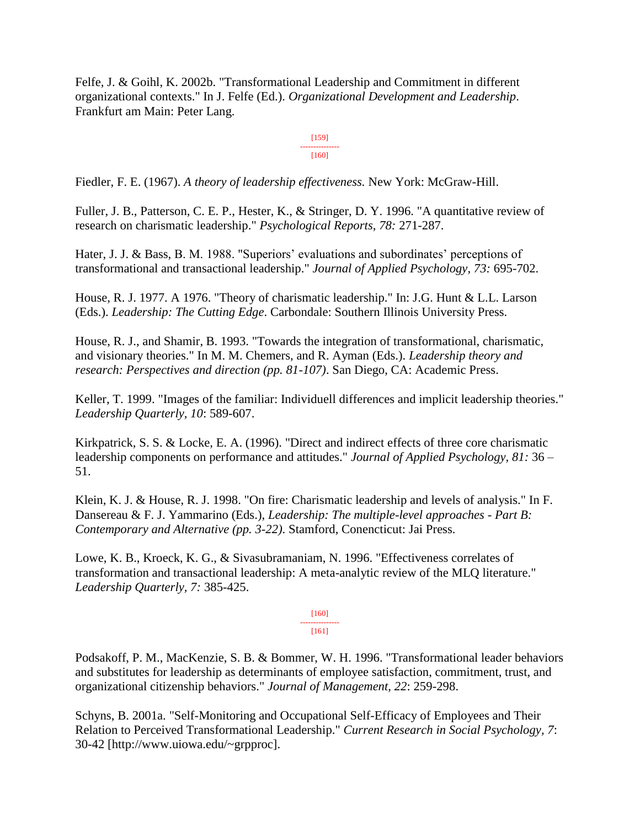Felfe, J. & Goihl, K. 2002b. "Transformational Leadership and Commitment in different organizational contexts." In J. Felfe (Ed.). *Organizational Development and Leadership*. Frankfurt am Main: Peter Lang.

> [159] --------------- [160]

Fiedler, F. E. (1967). *A theory of leadership effectiveness.* New York: McGraw-Hill.

Fuller, J. B., Patterson, C. E. P., Hester, K., & Stringer, D. Y. 1996. "A quantitative review of research on charismatic leadership." *Psychological Reports, 78:* 271-287.

Hater, J. J. & Bass, B. M. 1988. "Superiors' evaluations and subordinates' perceptions of transformational and transactional leadership." *Journal of Applied Psychology, 73:* 695-702.

House, R. J. 1977. A 1976. "Theory of charismatic leadership." In: J.G. Hunt & L.L. Larson (Eds.). *Leadership: The Cutting Edge*. Carbondale: Southern Illinois University Press.

House, R. J., and Shamir, B. 1993. "Towards the integration of transformational, charismatic, and visionary theories." In M. M. Chemers, and R. Ayman (Eds.). *Leadership theory and research: Perspectives and direction (pp. 81-107)*. San Diego, CA: Academic Press.

Keller, T. 1999. "Images of the familiar: Individuell differences and implicit leadership theories." *Leadership Quarterly, 10*: 589-607.

Kirkpatrick, S. S. & Locke, E. A. (1996). "Direct and indirect effects of three core charismatic leadership components on performance and attitudes." *Journal of Applied Psychology, 81:* 36 – 51.

Klein, K. J. & House, R. J. 1998. "On fire: Charismatic leadership and levels of analysis." In F. Dansereau & F. J. Yammarino (Eds.), *Leadership: The multiple-level approaches - Part B: Contemporary and Alternative (pp. 3-22)*. Stamford, Conencticut: Jai Press.

Lowe, K. B., Kroeck, K. G., & Sivasubramaniam, N. 1996. "Effectiveness correlates of transformation and transactional leadership: A meta-analytic review of the MLQ literature." *Leadership Quarterly, 7:* 385-425.

> [160] ---------------

[161]

Podsakoff, P. M., MacKenzie, S. B. & Bommer, W. H. 1996. "Transformational leader behaviors and substitutes for leadership as determinants of employee satisfaction, commitment, trust, and organizational citizenship behaviors." *Journal of Management, 22*: 259-298.

Schyns, B. 2001a. "Self-Monitoring and Occupational Self-Efficacy of Employees and Their Relation to Perceived Transformational Leadership." *Current Research in Social Psychology, 7*: 30-42 [http://www.uiowa.edu/~grpproc].